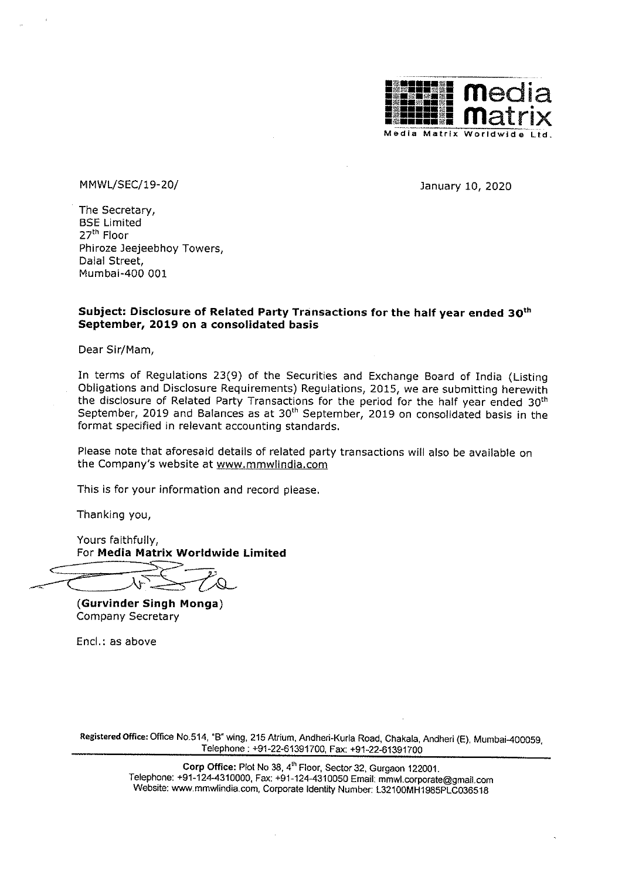

MMWL/SEC/19-20/ January 10, 2020

The Secretary, BSE Limited 27" Floor Phiroze Jeejeebhoy Towers, Dalal Street, Mumbai-400 001

### Subject: Disclosure of Related Party Transactions for the half year ended 30<sup>th</sup> September, 2019 on a consolidated basis

Dear Sir/Mam,

In terms of Regulations 23(9) of the Securities and Exchange Board of India (Listing Obligations and Disclosure Requirements) Regulations, 2015, we are submitting herewith<br>the disclosure of Related Party Transactions for the period for the half year ended  $30<sup>th</sup>$ <br>September, 2019 and Balances as at  $30$ 

Please note that aforesaid details of related party transactions will also be available on the Company's website at www.mmwiindia.com

This is for your information and record please.

Thanking you,

Yours faithfully, For Media Matrix Worldwide Limited

 $\sqrt{1-\frac{1}{2}}$ 

(Gurvinder Singh Monga) Company Secretary

Encl.: as above

Registered Office: Office No.514, "B" wing, 215 Atrium, Andheri-Kurla Road, Chakala, Andheri {E), Mumbai-400059, Telephone : +91-22-61391700, Fax: +91-22-61391700

Chakala, Andheri (E)<br>61391700<br>rgaon 122001.<br>nmwl.corporate@gma<br>32100MH1985PLC03 Corp Office: Plot No 38, 4<sup>th</sup> Floor, Sector 32, Gurgaon 122001.<br>Telephone: +91-124-4310000, Fax: +91-124-4310050 Email: mmwl.corporate@gmail.com<br>Website: www.mmwlindia.com, Corporate Identity Number: L32100MH1985PLC036518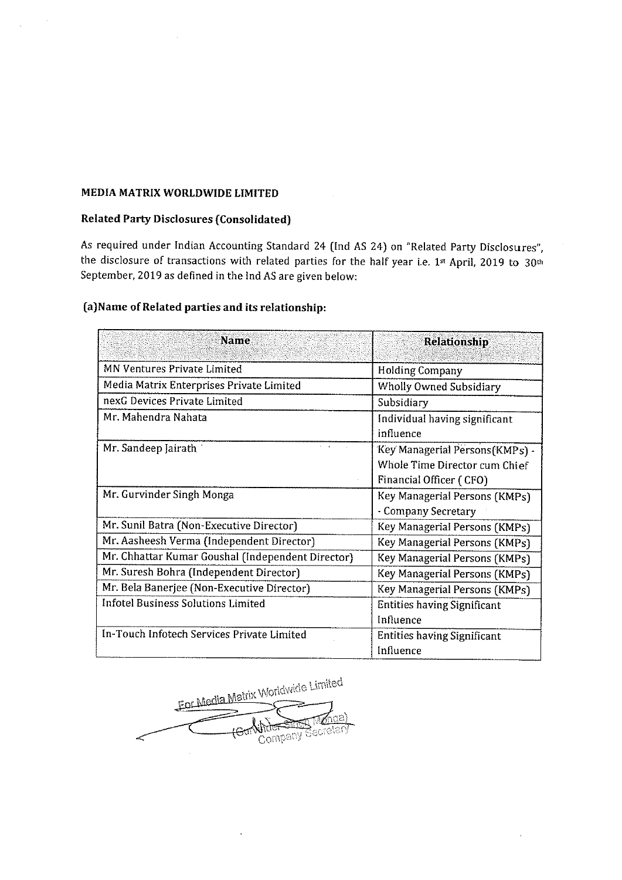# MEDIA MATRIX WORLDWIDE LIMITED

## Related Party Disclosures (Consolidated)

As required under Indian Accounting Standard 24 (ind AS 24} on "Related Party Disclosures", the disclosure of transactions with related parties for the half year i.e. 1st April, 2019 to 30th September, 2019 as defined in the Ind AS are given below: DIA MATRIX WORLDWIDE LIMITED<br>ated Party Disclosures (Consolidated)<br>required under Indian Accounting Standard 2<br>disclosure of transactions with related partit<br>tember, 2019 as defined in the Ind AS are giver<br>Name of Related DIA MATRIX WORLDWIDE LIMITED<br>ated Party Disclosures (Consolidated)<br>required under Indian Accounting Standard 2<br>disclosure of transactions with related partite<br>tember, 2019 as defined in the Ind AS are giver<br>Name of Related **IA MATRIX WORL**<br>**Ed Party Disclosu**<br>quired under Indi<br>isclosure of transa<br>mber, 2019 as defi<br>**ame of Related pa** 

| DIA MATRIX WORLDWIDE LIMITED!                                                                  |                                                          |
|------------------------------------------------------------------------------------------------|----------------------------------------------------------|
|                                                                                                |                                                          |
| lated Party Disclosures (Consolidated)                                                         |                                                          |
| required under Indian Accounting Standard 24 (Ind AS 24) on "Related Party Disclosures",       |                                                          |
| disclosure of transactions with related parties for the half year i.e. 1st April, 2019 to 30th |                                                          |
| tember, 2019 as defined in the Ind AS are given below:                                         |                                                          |
|                                                                                                |                                                          |
| Name of Related parties and its relationship:                                                  |                                                          |
| <b>Name</b>                                                                                    | Relationship                                             |
| MN Ventures Private Limited                                                                    |                                                          |
| Media Matrix Enterprises Private Limited                                                       | <b>Holding Company</b><br><b>Wholly Owned Subsidiary</b> |
| nexG Devices Private Limited                                                                   | Subsidiary                                               |
| Mr. Mahendra Nahata                                                                            | Individual having significant                            |
|                                                                                                | influence                                                |
| Mr. Sandeep Jairath                                                                            | Key Managerial Persons(KMPs) -                           |
|                                                                                                | Whole Time Director cum Chief                            |
|                                                                                                | Financial Officer (CFO)                                  |
| Mr. Gurvinder Singh Monga                                                                      | Key Managerial Persons (KMPs)                            |
|                                                                                                | - Company Secretary                                      |
| Mr. Sunil Batra (Non-Executive Director)                                                       | Key Managerial Persons (KMPs)                            |
| Mr. Aasheesh Verma (Independent Director)<br>Mr. Chhattar Kumar Goushal (Independent Director) | <b>Key Managerial Persons (KMPs)</b>                     |
|                                                                                                | Key Managerial Persons (KMPs)                            |
| Mr. Suresh Bohra (Independent Director)                                                        | Key Managerial Persons (KMPs)                            |
| Mr. Bela Banerjee (Non-Executive Director)<br>Infotel Business Solutions Limited               | Key Managerial Persons (KMPs)                            |
|                                                                                                | <b>Entities having Significant</b><br>Influence          |
| In-Touch Infotech Services Private Limited                                                     | <b>Entities having Significant</b>                       |
|                                                                                                |                                                          |
|                                                                                                |                                                          |
|                                                                                                | Influence                                                |
|                                                                                                |                                                          |
| For Media Matrix Worldwide Limited                                                             |                                                          |

## (a)Name of Related parties and its relationship:

de Limite? Company Secre